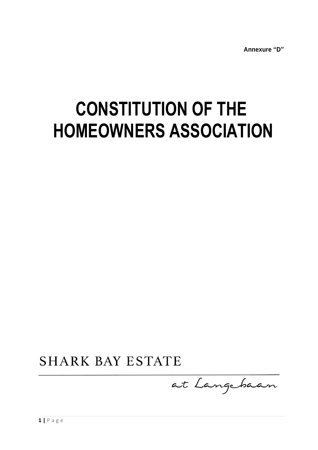**Annexure "D"**

# **CONSTITUTION OF THE HOMEOWNERS ASSOCIATION**

**SHARK BAY ESTATE** 

at Langebaan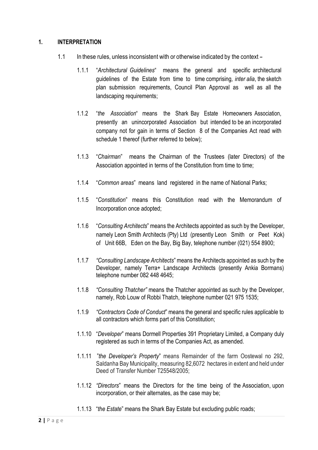## **1. INTERPRETATION**

- 1.1 In these rules, unless inconsistent with or otherwise indicated by the context
	- 1.1.1 "*Architectural Guidelines*" means the general and specific architectural guidelines of the Estate from time to time comprising*, inter alia*, the sketch plan submission requirements, Council Plan Approval as well as all the landscaping requirements;
	- 1.1.2 "*the Association*" means the Shark Bay Estate Homeowners Association, presently an unincorporated Association but intended to be an incorporated company not for gain in terms of Section 8 of the Companies Act read with schedule 1 thereof (further referred to below);
	- 1.1.3 "*Chairman*" means the Chairman of the Trustees (later Directors) of the Association appointed in terms of the Constitution from time to time;
	- 1.1.4 "*Common areas*" means land registered in the name of National Parks;
	- 1.1.5 "*Constitution*" means this Constitution read with the Memorandum of Incorporation once adopted;
	- 1.1.6 "*Consulting Architects*" means the Architects appointed as such by the Developer, namely Leon Smith Architects (Pty) Ltd (presently Leon Smith or Peet Kok) of Unit 66B, Eden on the Bay, Big Bay, telephone number (021) 554 8900;
	- 1.1.7 *"Consulting Landscape Architects*" means the Architects appointed as such by the Developer, namely Terra+ Landscape Architects (presently Ankia Bormans) telephone number 082 448 4645;
	- 1.1.8 *"Consulting Thatcher"* means the Thatcher appointed as such by the Developer, namely, Rob Louw of Robbi Thatch, telephone number 021 975 1535;
	- 1.1.9 *"Contractors Code of Conduct*" means the general and specific rules applicable to all contractors which forms part of this Constitution;
	- 1.1.10 "*Developer*" means Dormell Properties 391 Proprietary Limited, a Company duly registered as such in terms of the Companies Act, as amended.
	- 1.1.11 "*the Developer's Property*" means Remainder of the farm Oostewal no 292, Saldanha Bay Municipality, measuring 82,6072 hectares in extent and held under Deed of Transfer Number T25548/2005;
	- 1.1.12 *"Directors*" means the Directors for the time being of the Association, upon incorporation, or their alternates, as the case may be;
	- 1.1.13 "*the Estate*" means the Shark Bay Estate but excluding public roads;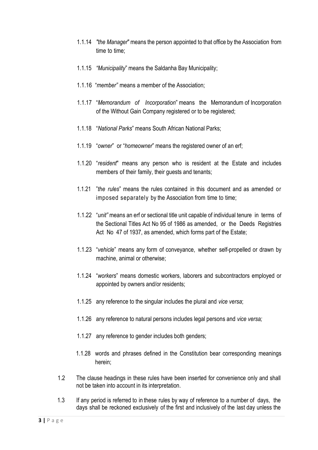- 1.1.14 *"the Manager*" means the person appointed to that office by the Association from time to time;
- 1.1.15 *"Municipality*" means the Saldanha Bay Municipality;
- 1.1.16 "*member"* means a member of the Association;
- 1.1.17 "*Memorandum of Incorporation*" means the Memorandum of Incorporation of the Without Gain Company registered or to be registered;
- 1.1.18 "*National Parks*" means South African National Parks;
- 1.1.19 "*owner*" or "*homeowner*" means the registered owner of an erf;
- 1.1.20 "*resident*" means any person who is resident at the Estate and includes members of their family, their guests and tenants;
- 1.1.21 "*the rules*" means the rules contained in this document and as amended or imposed separately by the Association from time to time;
- 1.1.22 "*unit"* means an erf or sectional title unit capable of individual tenure in terms of the Sectional Titles Act No 95 of 1986 as amended, or the Deeds Registries Act No 47 of 1937, as amended, which forms part of the Estate;
- 1.1.23 "*vehicle*" means any form of conveyance, whether self-propelled or drawn by machine, animal or otherwise;
- 1.1.24 "*workers*" means domestic workers, laborers and subcontractors employed or appointed by owners and/or residents;
- 1.1.25 any reference to the singular includes the plural and *vice versa*;
- 1.1.26 any reference to natural persons includes legal persons and *vice versa;*
- 1.1.27 any reference to gender includes both genders;
- 1.1.28 words and phrases defined in the Constitution bear corresponding meanings herein;
- 1.2 The clause headings in these rules have been inserted for convenience only and shall not be taken into account in its interpretation.
- 1.3 If any period is referred to in these rules by way of reference to a number of days, the days shall be reckoned exclusively of the first and inclusively of the last day unless the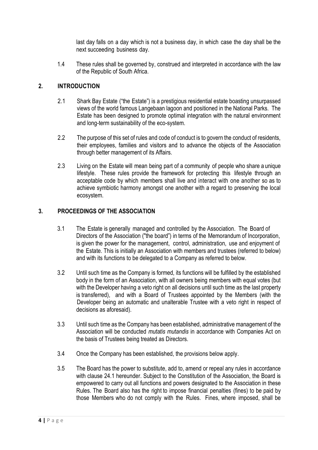last day falls on a day which is not a business day, in which case the day shall be the next succeeding business day.

1.4 These rules shall be governed by, construed and interpreted in accordance with the law of the Republic of South Africa.

# **2. INTRODUCTION**

- 2.1 Shark Bay Estate ("the Estate") is a prestigious residential estate boasting unsurpassed views of the world famous Langebaan lagoon and positioned in the National Parks. The Estate has been designed to promote optimal integration with the natural environment and long-term sustainability of the eco-system.
- 2.2 The purpose of this set of rules and code of conduct is to govern the conduct of residents, their employees, families and visitors and to advance the objects of the Association through better management of its Affairs.
- 2.3 Living on the Estate will mean being part of a community of people who share a unique lifestyle. These rules provide the framework for protecting this lifestyle through an acceptable code by which members shall live and interact with one another so as to achieve symbiotic harmony amongst one another with a regard to preserving the local ecosystem.

# **3. PROCEEDINGS OF THE ASSOCIATION**

- 3.1 The Estate is generally managed and controlled by the Association. The Board of Directors of the Association ("the board") in terms of the Memorandum of Incorporation, is given the power for the management, control, administration, use and enjoyment of the Estate. This is initially an Association with members and trustees (referred to below) and with its functions to be delegated to a Company as referred to below.
- 3.2 Until such time as the Company is formed, its functions will be fulfilled by the established body in the form of an Association, with all owners being members with equal votes (but with the Developer having a veto right on all decisions until such time as the last property is transferred), and with a Board of Trustees appointed by the Members (with the Developer being an automatic and unalterable Trustee with a veto right in respect of decisions as aforesaid).
- 3.3 Until such time as the Company has been established, administrative management of the Association will be conducted *mutatis mutandis* in accordance with Companies Act on the basis of Trustees being treated as Directors.
- 3.4 Once the Company has been established, the provisions below apply.
- 3.5 The Board has the power to substitute, add to, amend or repeal any rules in accordance with clause 24.1 hereunder. Subject to the Constitution of the Association, the Board is empowered to carry out all functions and powers designated to the Association in these Rules. The Board also has the right to impose financial penalties (fines) to be paid by those Members who do not comply with the Rules. Fines, where imposed, shall be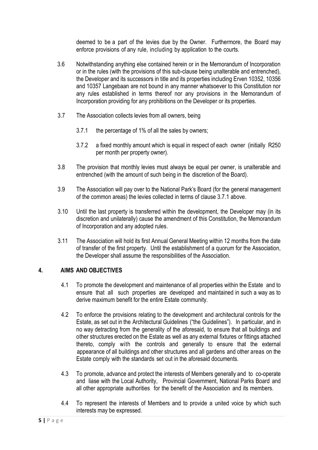deemed to be a part of the levies due by the Owner. Furthermore, the Board may enforce provisions of any rule, including by application to the courts.

- 3.6 Notwithstanding anything else contained herein or in the Memorandum of Incorporation or in the rules (with the provisions of this sub-clause being unalterable and entrenched), the Developer and its successors in title and its properties including Erven 10352, 10356 and 10357 Langebaan are not bound in any manner whatsoever to this Constitution nor any rules established in terms thereof nor any provisions in the Memorandum of Incorporation providing for any prohibitions on the Developer or its properties.
- 3.7 The Association collects levies from all owners, being
	- 3.7.1 the percentage of 1% of all the sales by owners;
	- 3.7.2 a fixed monthly amount which is equal in respect of each owner (initially R250 per month per property owner).
- 3.8 The provision that monthly levies must always be equal per owner, is unalterable and entrenched (with the amount of such being in the discretion of the Board).
- 3.9 The Association will pay over to the National Park's Board (for the general management of the common areas) the levies collected in terms of clause 3.7.1 above.
- 3.10 Until the last property is transferred within the development, the Developer may (in its discretion and unilaterally) cause the amendment of this Constitution, the Memorandum of Incorporation and any adopted rules.
- 3.11 The Association will hold its first Annual General Meeting within 12 months from the date of transfer of the first property. Until the establishment of a quorum for the Association, the Developer shall assume the responsibilities of the Association.

## **4. AIMS AND OBJECTIVES**

- 4.1 To promote the development and maintenance of all properties within the Estate and to ensure that all such properties are developed and maintained in such a way as to derive maximum benefit for the entire Estate community.
- 4.2 To enforce the provisions relating to the development and architectural controls for the Estate, as set out in the Architectural Guidelines ("the Guidelines"). In particular, and in no way detracting from the generality of the aforesaid, to ensure that all buildings and other structures erected on the Estate as well as any external fixtures or fittings attached thereto, comply with the controls and generally to ensure that the external appearance of all buildings and other structures and all gardens and other areas on the Estate comply with the standards set out in the aforesaid documents.
- 4.3 To promote, advance and protect the interests of Members generally and to co-operate and liase with the Local Authority, Provincial Government, National Parks Board and all other appropriate authorities for the benefit of the Association and its members.
- 4.4 To represent the interests of Members and to provide a united voice by which such interests may be expressed.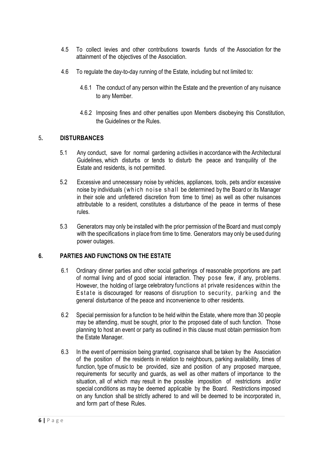- 4.5 To collect levies and other contributions towards funds of the Association for the attainment of the objectives of the Association.
- 4.6 To regulate the day-to-day running of the Estate, including but not limited to:
	- 4.6.1 The conduct of any person within the Estate and the prevention of any nuisance to any Member.
	- 4.6.2 Imposing fines and other penalties upon Members disobeying this Constitution, the Guidelines or the Rules.

# 5**. DISTURBANCES**

- 5.1 Any conduct, save for normal gardening activities in accordance with the Architectural Guidelines, which disturbs or tends to disturb the peace and tranquility of the Estate and residents, is not permitted.
- 5.2 Excessive and unnecessary noise by vehicles, appliances, tools, pets and/or excessive noise by individuals (which noise shall be determined by the Board or its Manager in their sole and unfettered discretion from time to time) as well as other nuisances attributable to a resident, constitutes a disturbance of the peace in terms of these rules.
- 5.3 Generators may only be installed with the prior permission of the Board and must comply with the specifications in place from time to time. Generators may only be used during power outages.

## **6. PARTIES AND FUNCTIONS ON THE ESTATE**

- 6.1 Ordinary dinner parties and other social gatherings of reasonable proportions are part of normal living and of good social interaction. They pose few, if any, problems. However, the holding of large celebratory functions at private residences within the Estate is discouraged for reasons of disruption to security, parking and the general disturbance of the peace and inconvenience to other residents.
- 6.2 Special permission for a function to be held within the Estate, where more than 30 people may be attending, must be sought, prior to the proposed date of such function. Those planning to host an event or party as outlined in this clause must obtain permission from the Estate Manager.
- 6.3 In the event of permission being granted, cognisance shall be taken by the Association of the position of the residents in relation to neighbours, parking availability, times of function, type of music to be provided, size and position of any proposed marquee, requirements for security and guards, as well as other matters of importance to the situation, all of which may result in the possible imposition of restrictions and/or special conditions as may be deemed applicable by the Board. Restrictions imposed on any function shall be strictly adhered to and will be deemed to be incorporated in, and form part of these Rules.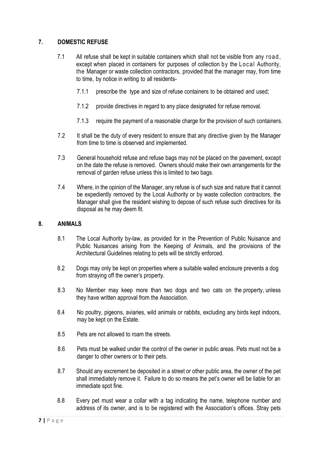# **7. DOMESTIC REFUSE**

- 7.1 All refuse shall be kept in suitable containers which shall not be visible from any road , except when placed in containers for purposes of collection by the Local Authority, the Manager or waste collection contractors, provided that the manager may, from time to time, by notice in writing to all residents-
	- 7.1.1 prescribe the type and size of refuse containers to be obtained and used;
	- 7.1.2 provide directives in regard to any place designated for refuse removal.
	- 7.1.3 require the payment of a reasonable charge for the provision of such containers.
- 7.2 It shall be the duty of every resident to ensure that any directive given by the Manager from time to time is observed and implemented.
- 7.3 General household refuse and refuse bags may not be placed on the pavement, except on the date the refuse is removed. Owners should make their own arrangements for the removal of garden refuse unless this is limited to two bags.
- 7.4 Where, in the opinion of the Manager, any refuse is of such size and nature that it cannot be expediently removed by the Local Authority or by waste collection contractors, the Manager shall give the resident wishing to depose of such refuse such directives for its disposal as he may deem fit.

#### **8. ANIMALS**

- 8.1 The Local Authority by-law, as provided for in the Prevention of Public Nuisance and Public Nuisances arising from the Keeping of Animals, and the provisions of the Architectural Guidelines relating to pets will be strictly enforced.
- 8.2 Dogs may only be kept on properties where a suitable walled enclosure prevents a dog from straying off the owner's property.
- 8.3 No Member may keep more than two dogs and two cats on the property, unless they have written approval from the Association.
- 8.4 No poultry, pigeons, aviaries, wild animals or rabbits, excluding any birds kept indoors, may be kept on the Estate.
- 8.5 Pets are not allowed to roam the streets.
- 8.6 Pets must be walked under the control of the owner in public areas. Pets must not be a danger to other owners or to their pets.
- 8.7 Should any excrement be deposited in a street or other public area, the owner of the pet shall immediately remove it. Failure to do so means the pet's owner will be liable for an immediate spot fine.
- 8.8 Every pet must wear a collar with a tag indicating the name, telephone number and address of its owner, and is to be registered with the Association's offices. Stray pets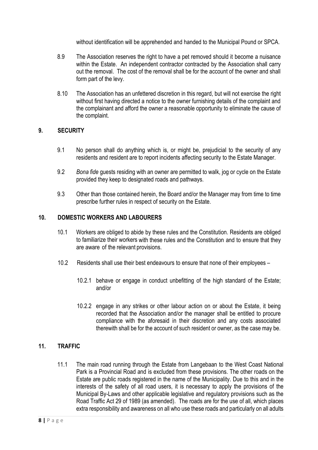without identification will be apprehended and handed to the Municipal Pound or SPCA.

- 8.9 The Association reserves the right to have a pet removed should it become a nuisance within the Estate. An independent contractor contracted by the Association shall carry out the removal. The cost of the removal shall be for the account of the owner and shall form part of the levy.
- 8.10 The Association has an unfettered discretion in this regard, but will not exercise the right without first having directed a notice to the owner furnishing details of the complaint and the complainant and afford the owner a reasonable opportunity to eliminate the cause of the complaint.

## **9. SECURITY**

- 9.1 No person shall do anything which is, or might be, prejudicial to the security of any residents and resident are to report incidents affecting security to the Estate Manager.
- 9.2 *Bona fide* guests residing with an owner are permitted to walk, jog or cycle on the Estate provided they keep to designated roads and pathways.
- 9.3 Other than those contained herein, the Board and/or the Manager may from time to time prescribe further rules in respect of security on the Estate.

#### **10. DOMESTIC WORKERS AND LABOURERS**

- 10.1 Workers are obliged to abide by these rules and the Constitution. Residents are obliged to familiarize their workers with these rules and the Constitution and to ensure that they are aware of the relevant provisions.
- 10.2 Residents shall use their best endeavours to ensure that none of their employees
	- 10.2.1 behave or engage in conduct unbefitting of the high standard of the Estate; and/or
	- 10.2.2 engage in any strikes or other labour action on or about the Estate, it being recorded that the Association and/or the manager shall be entitled to procure compliance with the aforesaid in their discretion and any costs associated therewith shall be for the account of such resident or owner, as the case may be.

# **11. TRAFFIC**

11.1 The main road running through the Estate from Langebaan to the West Coast National Park is a Provincial Road and is excluded from these provisions. The other roads on the Estate are public roads registered in the name of the Municipality. Due to this and in the interests of the safety of all road users, it is necessary to apply the provisions of the Municipal By-Laws and other applicable legislative and regulatory provisions such as the Road Traffic Act 29 of 1989 (as amended). The roads are for the use of all, which places extra responsibility and awareness on all who use these roads and particularly on all adults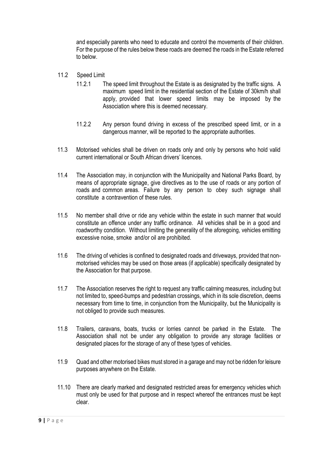and especially parents who need to educate and control the movements of their children. For the purpose of the rules below these roads are deemed the roads in the Estate referred to below.

- 11.2 Speed Limit
	- 11.2.1 The speed limit throughout the Estate is as designated by the traffic signs. A maximum speed limit in the residential section of the Estate of 30km/h shall apply, provided that lower speed limits may be imposed by the Association where this is deemed necessary.
	- 11.2.2 Any person found driving in excess of the prescribed speed limit, or in a dangerous manner, will be reported to the appropriate authorities.
- 11.3 Motorised vehicles shall be driven on roads only and only by persons who hold valid current international or South African drivers' licences.
- 11.4 The Association may, in conjunction with the Municipality and National Parks Board, by means of appropriate signage, give directives as to the use of roads or any portion of roads and common areas. Failure by any person to obey such signage shall constitute a contravention of these rules.
- 11.5 No member shall drive or ride any vehicle within the estate in such manner that would constitute an offence under any traffic ordinance. All vehicles shall be in a good and roadworthy condition. Without limiting the generality of the aforegoing, vehicles emitting excessive noise, smoke and/or oil are prohibited.
- 11.6 The driving of vehicles is confined to designated roads and driveways, provided that nonmotorised vehicles may be used on those areas (if applicable) specifically designated by the Association for that purpose.
- 11.7 The Association reserves the right to request any traffic calming measures, including but not limited to, speed-bumps and pedestrian crossings, which in its sole discretion, deems necessary from time to time, in conjunction from the Municipality, but the Municipality is not obliged to provide such measures.
- 11.8 Trailers, caravans, boats, trucks or lorries cannot be parked in the Estate. The Association shall not be under any obligation to provide any storage facilities or designated places for the storage of any of these types of vehicles.
- 11.9 Quad and other motorised bikes must stored in a garage and may not be ridden for leisure purposes anywhere on the Estate.
- 11.10 There are clearly marked and designated restricted areas for emergency vehicles which must only be used for that purpose and in respect whereof the entrances must be kept clear.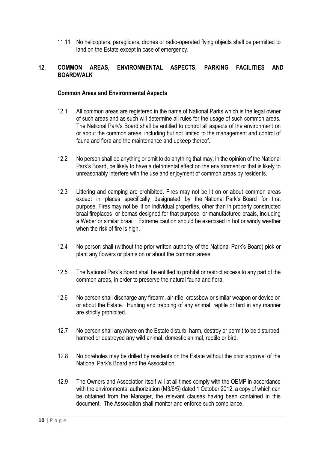11.11 No helicopters, paragliders, drones or radio-operated flying objects shall be permitted to land on the Estate except in case of emergency.

# **12. COMMON AREAS, ENVIRONMENTAL ASPECTS, PARKING FACILITIES AND BOARDWALK**

#### **Common Areas and Environmental Aspects**

- 12.1 All common areas are registered in the name of National Parks which is the legal owner of such areas and as such will determine all rules for the usage of such common areas. The National Park's Board shall be entitled to control all aspects of the environment on or about the common areas, including but not limited to the management and control of fauna and flora and the maintenance and upkeep thereof.
- 12.2 No person shall do anything or omit to do anything that may, in the opinion of the National Park's Board, be likely to have a detrimental effect on the environment or that is likely to unreasonably interfere with the use and enjoyment of common areas by residents.
- 12.3 Littering and camping are prohibited. Fires may not be lit on or about common areas except in places specifically designated by the National Park's Board for that purpose. Fires may not be lit on individual properties, other than in properly constructed braai fireplaces or bomas designed for that purpose, or manufactured braais, including a Weber or similar braai. Extreme caution should be exercised in hot or windy weather when the risk of fire is high.
- 12.4 No person shall (without the prior written authority of the National Park's Board) pick or plant any flowers or plants on or about the common areas.
- 12.5 The National Park's Board shall be entitled to prohibit or restrict access to any part of the common areas, in order to preserve the natural fauna and flora.
- 12.6 No person shall discharge any firearm, air-rifle, crossbow or similar weapon or device on or about the Estate. Hunting and trapping of any animal, reptile or bird in any manner are strictly prohibited.
- 12.7 No person shall anywhere on the Estate disturb, harm, destroy or permit to be disturbed, harmed or destroyed any wild animal, domestic animal, reptile or bird.
- 12.8 No boreholes may be drilled by residents on the Estate without the prior approval of the National Park's Board and the Association.
- 12.9 The Owners and Association itself will at all times comply with the OEMP in accordance with the environmental authorization (M3/6/5) dated 1 October 2012, a copy of which can be obtained from the Manager, the relevant clauses having been contained in this document. The Association shall monitor and enforce such compliance.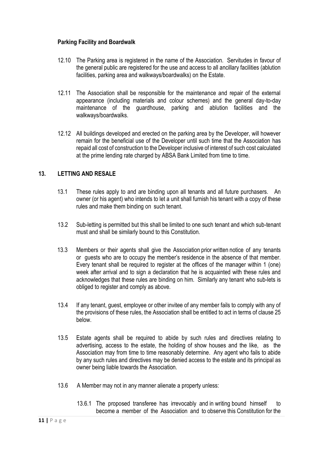# **Parking Facility and Boardwalk**

- 12.10 The Parking area is registered in the name of the Association. Servitudes in favour of the general public are registered for the use and access to all ancillary facilities (ablution facilities, parking area and walkways/boardwalks) on the Estate.
- 12.11 The Association shall be responsible for the maintenance and repair of the external appearance (including materials and colour schemes) and the general day-to-day maintenance of the guardhouse, parking and ablution facilities and the walkways/boardwalks.
- 12.12 All buildings developed and erected on the parking area by the Developer, will however remain for the beneficial use of the Developer until such time that the Association has repaid all cost of construction to the Developer inclusive of interest of such cost calculated at the prime lending rate charged by ABSA Bank Limited from time to time.

# **13. LETTING AND RESALE**

- 13.1 These rules apply to and are binding upon all tenants and all future purchasers. An owner (or his agent) who intends to let a unit shall furnish his tenant with a copy of these rules and make them binding on such tenant.
- 13.2 Sub-letting is permitted but this shall be limited to one such tenant and which sub-tenant must and shall be similarly bound to this Constitution.
- 13.3 Members or their agents shall give the Association prior written notice of any tenants or guests who are to occupy the member's residence in the absence of that member. Every tenant shall be required to register at the offices of the manager within 1 (one) week after arrival and to sign a declaration that he is acquainted with these rules and acknowledges that these rules are binding on him. Similarly any tenant who sub-lets is obliged to register and comply as above.
- 13.4 If any tenant, guest, employee or other invitee of any member fails to comply with any of the provisions of these rules, the Association shall be entitled to act in terms of clause 25 below.
- 13.5 Estate agents shall be required to abide by such rules and directives relating to advertising, access to the estate, the holding of show houses and the like, as the Association may from time to time reasonably determine. Any agent who fails to abide by any such rules and directives may be denied access to the estate and its principal as owner being liable towards the Association.
- 13.6 A Member may not in any manner alienate a property unless:
	- 13.6.1 The proposed transferee has irrevocably and in writing bound himself to become a member of the Association and to observe this Constitution for the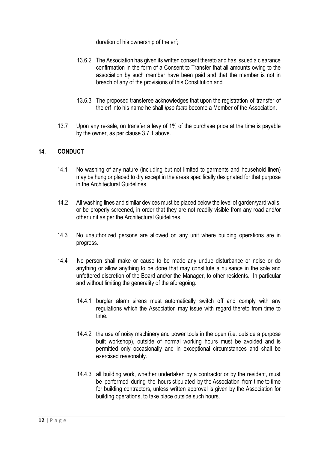duration of his ownership of the erf;

- 13.6.2 The Association has given its written consent thereto and has issued a clearance confirmation in the form of a Consent to Transfer that all amounts owing to the association by such member have been paid and that the member is not in breach of any of the provisions of this Constitution and
- 13.6.3 The proposed transferee acknowledges that upon the registration of transfer of the erf into his name he shall *ipso facto* become a Member of the Association.
- 13.7 Upon any re-sale, on transfer a levy of 1% of the purchase price at the time is payable by the owner, as per clause 3.7.1 above.

## **14. CONDUCT**

- 14.1 No washing of any nature (including but not limited to garments and household linen) may be hung or placed to dry except in the areas specifically designated for that purpose in the Architectural Guidelines.
- 14.2 All washing lines and similar devices must be placed below the level of garden/yard walls, or be properly screened, in order that they are not readily visible from any road and/or other unit as per the Architectural Guidelines.
- 14.3 No unauthorized persons are allowed on any unit where building operations are in progress.
- 14.4 No person shall make or cause to be made any undue disturbance or noise or do anything or allow anything to be done that may constitute a nuisance in the sole and unfettered discretion of the Board and/or the Manager, to other residents. In particular and without limiting the generality of the aforegoing:
	- 14.4.1 burglar alarm sirens must automatically switch off and comply with any regulations which the Association may issue with regard thereto from time to time.
	- 14.4.2 the use of noisy machinery and power tools in the open (i.e. outside a purpose built workshop), outside of normal working hours must be avoided and is permitted only occasionally and in exceptional circumstances and shall be exercised reasonably.
	- 14.4.3 all building work, whether undertaken by a contractor or by the resident, must be performed during the hours stipulated by the Association from time to time for building contractors, unless written approval is given by the Association for building operations, to take place outside such hours.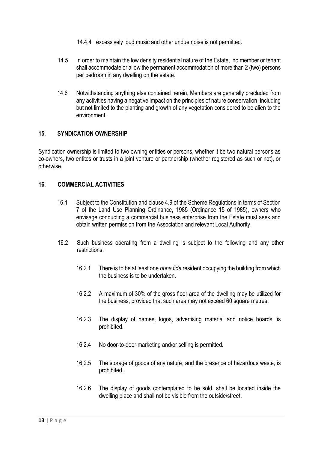- 14.4.4 excessively loud music and other undue noise is not permitted.
- 14.5 In order to maintain the low density residential nature of the Estate, no member or tenant shall accommodate or allow the permanent accommodation of more than 2 (two) persons per bedroom in any dwelling on the estate.
- 14.6 Notwithstanding anything else contained herein, Members are generally precluded from any activities having a negative impact on the principles of nature conservation, including but not limited to the planting and growth of any vegetation considered to be alien to the environment.

#### **15. SYNDICATION OWNERSHIP**

Syndication ownership is limited to two owning entities or persons, whether it be two natural persons as co-owners, two entites or trusts in a joint venture or partnership (whether registered as such or not), or otherwise.

## **16. COMMERCIAL ACTIVITIES**

- 16.1 Subject to the Constitution and clause 4.9 of the Scheme Regulations in terms of Section 7 of the Land Use Planning Ordinance, 1985 (Ordinance 15 of 1985), owners who envisage conducting a commercial business enterprise from the Estate must seek and obtain written permission from the Association and relevant Local Authority.
- 16.2 Such business operating from a dwelling is subject to the following and any other restrictions:
	- 16.2.1 There is to be at least one *bona fide* resident occupying the building from which the business is to be undertaken.
	- 16.2.2 A maximum of 30% of the gross floor area of the dwelling may be utilized for the business, provided that such area may not exceed 60 square metres.
	- 16.2.3 The display of names, logos, advertising material and notice boards, is prohibited.
	- 16.2.4 No door-to-door marketing and/or selling is permitted.
	- 16.2.5 The storage of goods of any nature, and the presence of hazardous waste, is prohibited.
	- 16.2.6 The display of goods contemplated to be sold, shall be located inside the dwelling place and shall not be visible from the outside/street.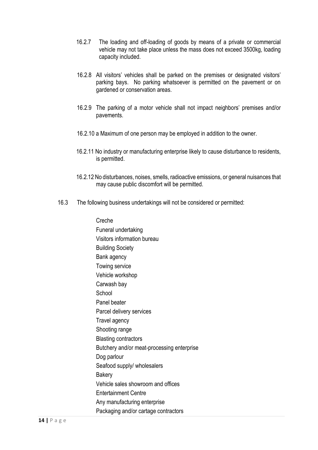- 16.2.7 The loading and off-loading of goods by means of a private or commercial vehicle may not take place unless the mass does not exceed 3500kg, loading capacity included.
- 16.2.8 All visitors' vehicles shall be parked on the premises or designated visitors' parking bays. No parking whatsoever is permitted on the pavement or on gardened or conservation areas.
- 16.2.9 The parking of a motor vehicle shall not impact neighbors' premises and/or pavements.
- 16.2.10 a Maximum of one person may be employed in addition to the owner.
- 16.2.11 No industry or manufacturing enterprise likely to cause disturbance to residents, is permitted.
- 16.2.12 No disturbances, noises, smells, radioactive emissions, or general nuisances that may cause public discomfort will be permitted.
- 16.3 The following business undertakings will not be considered or permitted:

Creche Funeral undertaking Visitors information bureau Building Society Bank agency Towing service Vehicle workshop Carwash bay **School** Panel beater Parcel delivery services Travel agency Shooting range Blasting contractors Butchery and/or meat-processing enterprise Dog parlour Seafood supply/ wholesalers **Bakery** Vehicle sales showroom and offices Entertainment Centre Any manufacturing enterprise Packaging and/or cartage contractors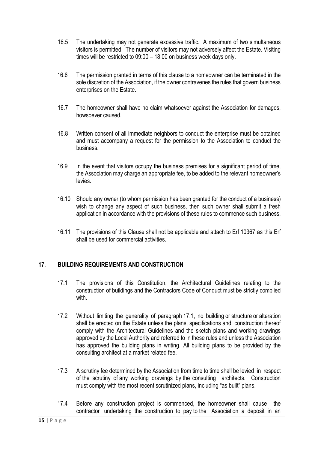- 16.5 The undertaking may not generate excessive traffic. A maximum of two simultaneous visitors is permitted. The number of visitors may not adversely affect the Estate. Visiting times will be restricted to 09:00 – 18.00 on business week days only.
- 16.6 The permission granted in terms of this clause to a homeowner can be terminated in the sole discretion of the Association, if the owner contravenes the rules that govern business enterprises on the Estate.
- 16.7 The homeowner shall have no claim whatsoever against the Association for damages, howsoever caused.
- 16.8 Written consent of all immediate neighbors to conduct the enterprise must be obtained and must accompany a request for the permission to the Association to conduct the business.
- 16.9 In the event that visitors occupy the business premises for a significant period of time, the Association may charge an appropriate fee, to be added to the relevant homeowner's levies.
- 16.10 Should any owner (to whom permission has been granted for the conduct of a business) wish to change any aspect of such business, then such owner shall submit a fresh application in accordance with the provisions of these rules to commence such business.
- 16.11 The provisions of this Clause shall not be applicable and attach to Erf 10367 as this Erf shall be used for commercial activities.

# **17. BUILDING REQUIREMENTS AND CONSTRUCTION**

- 17.1 The provisions of this Constitution, the Architectural Guidelines relating to the construction of buildings and the Contractors Code of Conduct must be strictly complied with
- 17.2 Without limiting the generality of paragraph 17.1, no building or structure or alteration shall be erected on the Estate unless the plans, specifications and construction thereof comply with the Architectural Guidelines and the sketch plans and working drawings approved by the Local Authority and referred to in these rules and unless the Association has approved the building plans in writing. All building plans to be provided by the consulting architect at a market related fee.
- 17.3 A scrutiny fee determined by the Association from time to time shall be levied in respect of the scrutiny of any working drawings by the consulting architects. Construction must comply with the most recent scrutinized plans, including "as built" plans.
- 17.4 Before any construction project is commenced, the homeowner shall cause the contractor undertaking the construction to pay to the Association a deposit in an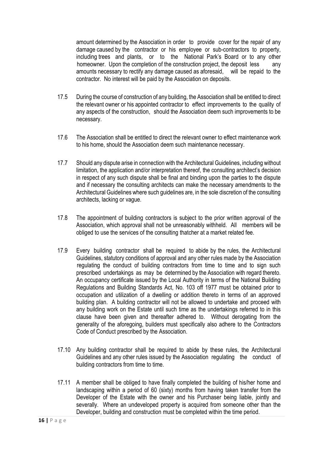amount determined by the Association in order to provide cover for the repair of any damage caused by the contractor or his employee or sub-contractors to property, including trees and plants, or to the National Park's Board or to any other homeowner. Upon the completion of the construction project, the deposit less any amounts necessary to rectify any damage caused as aforesaid, will be repaid to the contractor. No interest will be paid by the Association on deposits.

- 17.5 During the course of construction of any building, the Association shall be entitled to direct the relevant owner or his appointed contractor to effect improvements to the quality of any aspects of the construction, should the Association deem such improvements to be necessary.
- 17.6 The Association shall be entitled to direct the relevant owner to effect maintenance work to his home, should the Association deem such maintenance necessary.
- 17.7 Should any dispute arise in connection with the Architectural Guidelines, including without limitation, the application and/or interpretation thereof, the consulting architect's decision in respect of any such dispute shall be final and binding upon the parties to the dispute and if necessary the consulting architects can make the necessary amendments to the Architectural Guidelines where such guidelines are, in the sole discretion of the consulting architects, lacking or vague.
- 17.8 The appointment of building contractors is subject to the prior written approval of the Association, which approval shall not be unreasonably withheld. All members will be obliged to use the services of the consulting thatcher at a market related fee.
- 17.9 Every building contractor shall be required to abide by the rules, the Architectural Guidelines, statutory conditions of approval and any other rules made by the Association regulating the conduct of building contractors from time to time and to sign such prescribed undertakings as may be determined by the Association with regard thereto. An occupancy certificate issued by the Local Authority in terms of the National Building Regulations and Building Standards Act, No. 103 off 1977 must be obtained prior to occupation and utilization of a dwelling or addition thereto in terms of an approved building plan. A building contractor will not be allowed to undertake and proceed with any building work on the Estate until such time as the undertakings referred to in this clause have been given and thereafter adhered to. Without derogating from the generality of the aforegoing, builders must specifically also adhere to the Contractors Code of Conduct prescribed by the Association.
- 17.10 Any building contractor shall be required to abide by these rules, the Architectural Guidelines and any other rules issued by the Association regulating the conduct of building contractors from time to time.
- 17.11 A member shall be obliged to have finally completed the building of his/her home and landscaping within a period of 60 (sixty) months from having taken transfer from the Developer of the Estate with the owner and his Purchaser being liable, jointly and severally. Where an undeveloped property is acquired from someone other than the Developer, building and construction must be completed within the time period.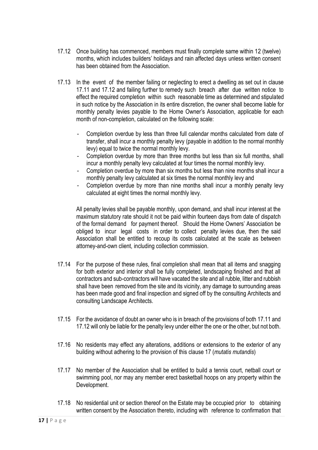- 17.12 Once building has commenced, members must finally complete same within 12 (twelve) months, which includes builders' holidays and rain affected days unless written consent has been obtained from the Association.
- 17.13 In the event of the member failing or neglecting to erect a dwelling as set out in clause 17.11 and 17.12 and failing further to remedy such breach after due written notice to effect the required completion within such reasonable time as determined and stipulated in such notice by the Association in its entire discretion, the owner shall become liable for monthly penalty levies payable to the Home Owner's Association, applicable for each month of non-completion, calculated on the following scale:
	- Completion overdue by less than three full calendar months calculated from date of transfer, shall incur a monthly penalty levy (payable in addition to the normal monthly levy) equal to twice the normal monthly levy.
	- Completion overdue by more than three months but less than six full months, shall incur a monthly penalty levy calculated at four times the normal monthly levy.
	- Completion overdue by more than six months but less than nine months shall incur a monthly penalty levy calculated at six times the normal monthly levy and
	- Completion overdue by more than nine months shall incur a monthly penalty levy calculated at eight times the normal monthly levy.

All penalty levies shall be payable monthly, upon demand, and shall incur interest at the maximum statutory rate should it not be paid within fourteen days from date of dispatch of the formal demand for payment thereof. Should the Home Owners' Association be obliged to incur legal costs in order to collect penalty levies due, then the said Association shall be entitled to recoup its costs calculated at the scale as between attorney-and-own client, including collection commission.

- 17.14 For the purpose of these rules, final completion shall mean that all items and snagging for both exterior and interior shall be fully completed, landscaping finished and that all contractors and sub-contractors will have vacated the site and all rubble, litter and rubbish shall have been removed from the site and its vicinity, any damage to surrounding areas has been made good and final inspection and signed off by the consulting Architects and consulting Landscape Architects.
- 17.15 For the avoidance of doubt an owner who is in breach of the provisions of both 17.11 and 17.12 will only be liable for the penalty levy under either the one or the other, but not both.
- 17.16 No residents may effect any alterations, additions or extensions to the exterior of any building without adhering to the provision of this clause 17 (*mutatis mutandis*)
- 17.17 No member of the Association shall be entitled to build a tennis court, netball court or swimming pool, nor may any member erect basketball hoops on any property within the Development.
- 17.18 No residential unit or section thereof on the Estate may be occupied prior to obtaining written consent by the Association thereto, including with reference to confirmation that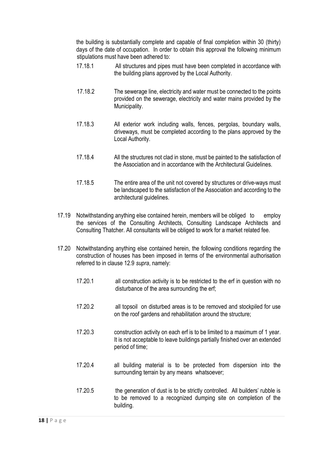the building is substantially complete and capable of final completion within 30 (thirty) days of the date of occupation. In order to obtain this approval the following minimum stipulations must have been adhered to:

- 17.18.1 All structures and pipes must have been completed in accordance with the building plans approved by the Local Authority.
- 17.18.2 The sewerage line, electricity and water must be connected to the points provided on the sewerage, electricity and water mains provided by the Municipality.
- 17.18.3 All exterior work including walls, fences, pergolas, boundary walls, driveways, must be completed according to the plans approved by the Local Authority.
- 17.18.4 All the structures not clad in stone, must be painted to the satisfaction of the Association and in accordance with the Architectural Guidelines.
- 17.18.5 The entire area of the unit not covered by structures or drive-ways must be landscaped to the satisfaction of the Association and according to the architectural guidelines.
- 17.19 Notwithstanding anything else contained herein, members will be obliged to employ the services of the Consulting Architects, Consulting Landscape Architects and Consulting Thatcher. All consultants will be obliged to work for a market related fee.
- 17.20 Notwithstanding anything else contained herein, the following conditions regarding the construction of houses has been imposed in terms of the environmental authorisation referred to in clause 12.9 *supra*, namely:
	- 17.20.1 all construction activity is to be restricted to the erf in question with no disturbance of the area surrounding the erf;
	- 17.20.2 all topsoil on disturbed areas is to be removed and stockpiled for use on the roof gardens and rehabilitation around the structure;
	- 17.20.3 construction activity on each erf is to be limited to a maximum of 1 year. It is not acceptable to leave buildings partially finished over an extended period of time;
	- 17.20.4 all building material is to be protected from dispersion into the surrounding terrain by any means whatsoever;
	- 17.20.5 the generation of dust is to be strictly controlled. All builders' rubble is to be removed to a recognized dumping site on completion of the building.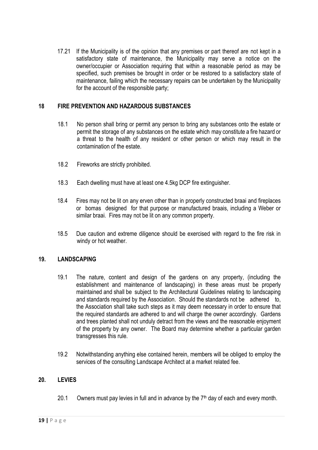17.21 If the Municipality is of the opinion that any premises or part thereof are not kept in a satisfactory state of maintenance, the Municipality may serve a notice on the owner/occupier or Association requiring that within a reasonable period as may be specified, such premises be brought in order or be restored to a satisfactory state of maintenance, failing which the necessary repairs can be undertaken by the Municipality for the account of the responsible party;

# **18 FIRE PREVENTION AND HAZARDOUS SUBSTANCES**

- 18.1 No person shall bring or permit any person to bring any substances onto the estate or permit the storage of any substances on the estate which may constitute a fire hazard or a threat to the health of any resident or other person or which may result in the contamination of the estate.
- 18.2 Fireworks are strictly prohibited.
- 18.3 Each dwelling must have at least one 4.5kg DCP fire extinguisher.
- 18.4 Fires may not be lit on any erven other than in properly constructed braai and fireplaces or bomas designed for that purpose or manufactured braais, including a Weber or similar braai. Fires may not be lit on any common property.
- 18.5 Due caution and extreme diligence should be exercised with regard to the fire risk in windy or hot weather.

## **19. LANDSCAPING**

- 19.1 The nature, content and design of the gardens on any property, (including the establishment and maintenance of landscaping) in these areas must be properly maintained and shall be subject to the Architectural Guidelines relating to landscaping and standards required by the Association. Should the standards not be adhered to, the Association shall take such steps as it may deem necessary in order to ensure that the required standards are adhered to and will charge the owner accordingly. Gardens and trees planted shall not unduly detract from the views and the reasonable enjoyment of the property by any owner. The Board may determine whether a particular garden transgresses this rule.
- 19.2 Notwithstanding anything else contained herein, members will be obliged to employ the services of the consulting Landscape Architect at a market related fee.

## **20. LEVIES**

20.1 Owners must pay levies in full and in advance by the  $7<sup>th</sup>$  day of each and every month.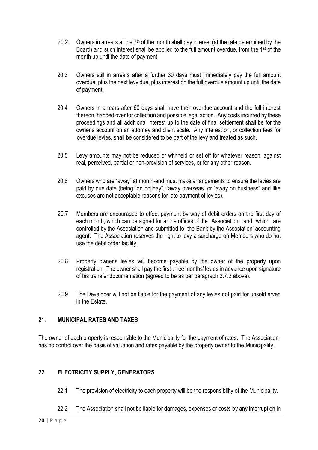- 20.2 Owners in arrears at the  $7<sup>th</sup>$  of the month shall pay interest (at the rate determined by the Board) and such interest shall be applied to the full amount overdue, from the 1st of the month up until the date of payment.
- 20.3 Owners still in arrears after a further 30 days must immediately pay the full amount overdue, plus the next levy due, plus interest on the full overdue amount up until the date of payment.
- 20.4 Owners in arrears after 60 days shall have their overdue account and the full interest thereon, handed over for collection and possible legal action. Any costs incurred by these proceedings and all additional interest up to the date of final settlement shall be for the owner's account on an attorney and client scale. Any interest on, or collection fees for overdue levies, shall be considered to be part of the levy and treated as such.
- 20.5 Levy amounts may not be reduced or withheld or set off for whatever reason, against real, perceived, partial or non-provision of services, or for any other reason.
- 20.6 Owners who are "away" at month-end must make arrangements to ensure the levies are paid by due date (being "on holiday", "away overseas" or "away on business" and like excuses are not acceptable reasons for late payment of levies).
- 20.7 Members are encouraged to effect payment by way of debit orders on the first day of each month, which can be signed for at the offices of the Association, and which are controlled by the Association and submitted to the Bank by the Association' accounting agent. The Association reserves the right to levy a surcharge on Members who do not use the debit order facility.
- 20.8 Property owner's levies will become payable by the owner of the property upon registration. The owner shall pay the first three months' levies in advance upon signature of his transfer documentation (agreed to be as per paragraph 3.7.2 above).
- 20.9 The Developer will not be liable for the payment of any levies not paid for unsold erven in the Estate.

## **21. MUNICIPAL RATES AND TAXES**

The owner of each property is responsible to the Municipality for the payment of rates. The Association has no control over the basis of valuation and rates payable by the property owner to the Municipality.

## **22 ELECTRICITY SUPPLY, GENERATORS**

- 22.1 The provision of electricity to each property will be the responsibility of the Municipality.
- 22.2 The Association shall not be liable for damages, expenses or costs by any interruption in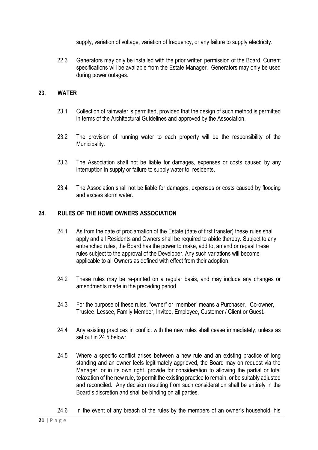supply, variation of voltage, variation of frequency, or any failure to supply electricity.

22.3 Generators may only be installed with the prior written permission of the Board. Current specifications will be available from the Estate Manager. Generators may only be used during power outages.

## **23. WATER**

- 23.1 Collection of rainwater is permitted, provided that the design of such method is permitted in terms of the Architectural Guidelines and approved by the Association.
- 23.2 The provision of running water to each property will be the responsibility of the Municipality.
- 23.3 The Association shall not be liable for damages, expenses or costs caused by any interruption in supply or failure to supply water to residents.
- 23.4 The Association shall not be liable for damages, expenses or costs caused by flooding and excess storm water.

#### **24. RULES OF THE HOME OWNERS ASSOCIATION**

- 24.1 As from the date of proclamation of the Estate (date of first transfer) these rules shall apply and all Residents and Owners shall be required to abide thereby. Subject to any entrenched rules, the Board has the power to make, add to, amend or repeal these rules subject to the approval of the Developer. Any such variations will become applicable to all Owners as defined with effect from their adoption.
- 24.2 These rules may be re-printed on a regular basis, and may include any changes or amendments made in the preceding period.
- 24.3 For the purpose of these rules, "owner" or "member" means a Purchaser, Co-owner, Trustee, Lessee, Family Member, Invitee, Employee, Customer / Client or Guest.
- 24.4 Any existing practices in conflict with the new rules shall cease immediately, unless as set out in 24.5 below:
- 24.5 Where a specific conflict arises between a new rule and an existing practice of long standing and an owner feels legitimately aggrieved, the Board may on request via the Manager, or in its own right, provide for consideration to allowing the partial or total relaxation of the new rule, to permit the existing practice to remain, or be suitably adjusted and reconciled. Any decision resulting from such consideration shall be entirely in the Board's discretion and shall be binding on all parties.
- 24.6 In the event of any breach of the rules by the members of an owner's household, his